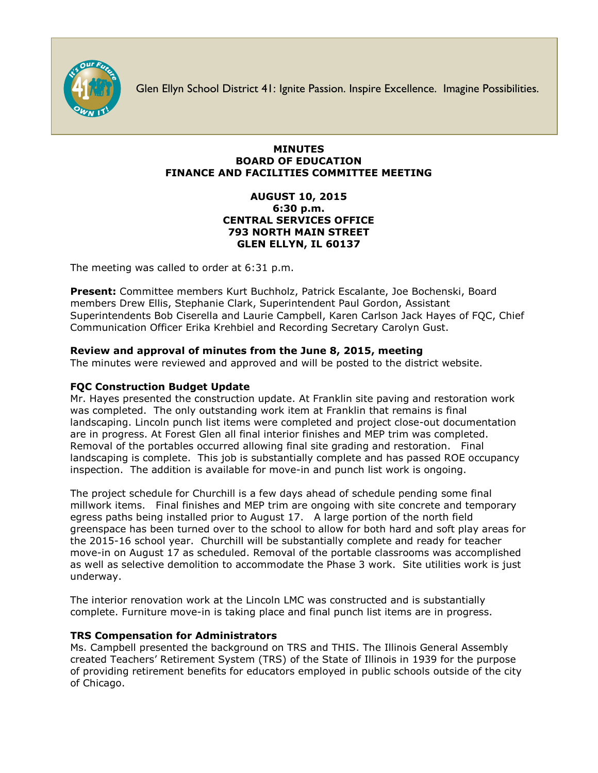

Glen Ellyn School District 41: Ignite Passion. Inspire Excellence. Imagine Possibilities.

#### **MINUTES BOARD OF EDUCATION FINANCE AND FACILITIES COMMITTEE MEETING**

### **AUGUST 10, 2015 6:30 p.m. CENTRAL SERVICES OFFICE 793 NORTH MAIN STREET GLEN ELLYN, IL 60137**

The meeting was called to order at 6:31 p.m.

**Present:** Committee members Kurt Buchholz, Patrick Escalante, Joe Bochenski, Board members Drew Ellis, Stephanie Clark, Superintendent Paul Gordon, Assistant Superintendents Bob Ciserella and Laurie Campbell, Karen Carlson Jack Hayes of FQC, Chief Communication Officer [Erika Krehbiel](http://www.d41.org/contact_email.asp?id=ekrehbiel&n=Erika_Krehbiel) and Recording Secretary Carolyn Gust.

# **Review and approval of minutes from the June 8, 2015, meeting**

The minutes were reviewed and approved and will be posted to the district website.

## **FQC Construction Budget Update**

Mr. Hayes presented the construction update. At Franklin site paving and restoration work was completed. The only outstanding work item at Franklin that remains is final landscaping. Lincoln punch list items were completed and project close-out documentation are in progress. At Forest Glen all final interior finishes and MEP trim was completed. Removal of the portables occurred allowing final site grading and restoration. Final landscaping is complete. This job is substantially complete and has passed ROE occupancy inspection. The addition is available for move-in and punch list work is ongoing.

The project schedule for Churchill is a few days ahead of schedule pending some final millwork items. Final finishes and MEP trim are ongoing with site concrete and temporary egress paths being installed prior to August 17. A large portion of the north field greenspace has been turned over to the school to allow for both hard and soft play areas for the 2015-16 school year. Churchill will be substantially complete and ready for teacher move-in on August 17 as scheduled. Removal of the portable classrooms was accomplished as well as selective demolition to accommodate the Phase 3 work. Site utilities work is just underway.

The interior renovation work at the Lincoln LMC was constructed and is substantially complete. Furniture move-in is taking place and final punch list items are in progress.

# **TRS Compensation for Administrators**

Ms. Campbell presented the background on TRS and THIS. The Illinois General Assembly created Teachers' Retirement System (TRS) of the State of Illinois in 1939 for the purpose of providing retirement benefits for educators employed in public schools outside of the city of Chicago.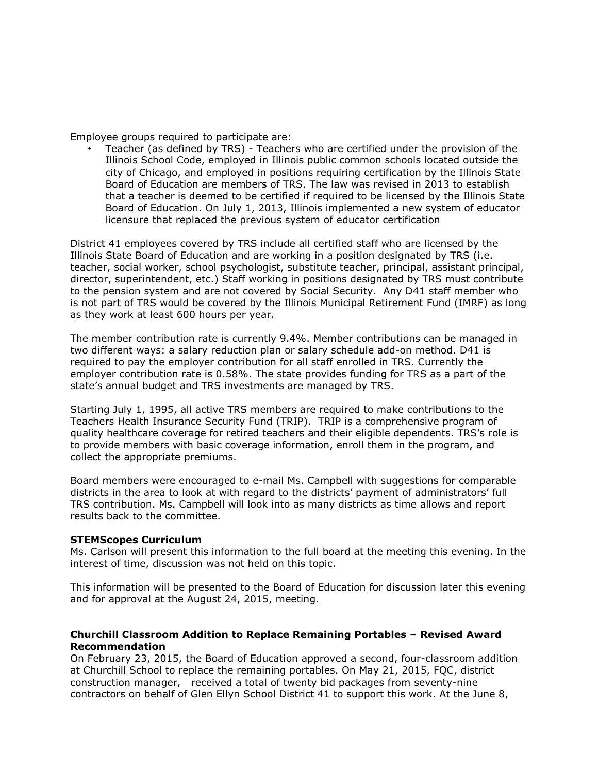Employee groups required to participate are:

• Teacher (as defined by TRS) - Teachers who are certified under the provision of the Illinois School Code, employed in Illinois public common schools located outside the city of Chicago, and employed in positions requiring certification by the Illinois State Board of Education are members of TRS. The law was revised in 2013 to establish that a teacher is deemed to be certified if required to be licensed by the Illinois State Board of Education. On July 1, 2013, Illinois implemented a new system of educator licensure that replaced the previous system of educator certification

District 41 employees covered by TRS include all certified staff who are licensed by the Illinois State Board of Education and are working in a position designated by TRS (i.e. teacher, social worker, school psychologist, substitute teacher, principal, assistant principal, director, superintendent, etc.) Staff working in positions designated by TRS must contribute to the pension system and are not covered by Social Security. Any D41 staff member who is not part of TRS would be covered by the Illinois Municipal Retirement Fund (IMRF) as long as they work at least 600 hours per year.

The member contribution rate is currently 9.4%. Member contributions can be managed in two different ways: a salary reduction plan or salary schedule add-on method. D41 is required to pay the employer contribution for all staff enrolled in TRS. Currently the employer contribution rate is 0.58%. The state provides funding for TRS as a part of the state's annual budget and TRS investments are managed by TRS.

Starting July 1, 1995, all active TRS members are required to make contributions to the Teachers Health Insurance Security Fund (TRIP). TRIP is a comprehensive program of quality healthcare coverage for retired teachers and their eligible dependents. TRS's role is to provide members with basic coverage information, enroll them in the program, and collect the appropriate premiums.

Board members were encouraged to e-mail Ms. Campbell with suggestions for comparable districts in the area to look at with regard to the districts' payment of administrators' full TRS contribution. Ms. Campbell will look into as many districts as time allows and report results back to the committee.

#### **STEMScopes Curriculum**

Ms. Carlson will present this information to the full board at the meeting this evening. In the interest of time, discussion was not held on this topic.

This information will be presented to the Board of Education for discussion later this evening and for approval at the August 24, 2015, meeting.

#### **Churchill Classroom Addition to Replace Remaining Portables – Revised Award Recommendation**

On February 23, 2015, the Board of Education approved a second, four-classroom addition at Churchill School to replace the remaining portables. On May 21, 2015, FQC, district construction manager, received a total of twenty bid packages from seventy-nine contractors on behalf of Glen Ellyn School District 41 to support this work. At the June 8,